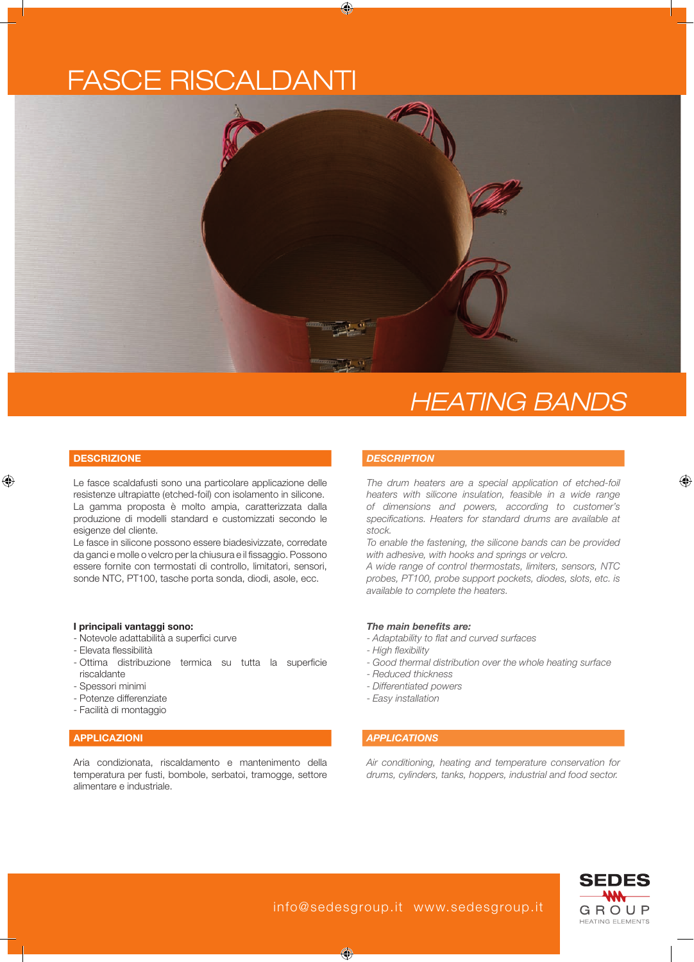# fasce riscaldanti



## *Heating Bands*

#### **DESCRIZIONE**

Le fasce scaldafusti sono una particolare applicazione delle resistenze ultrapiatte (etched-foil) con isolamento in silicone. La gamma proposta è molto ampia, caratterizzata dalla produzione di modelli standard e customizzati secondo le esigenze del cliente.

Le fasce in silicone possono essere biadesivizzate, corredate da ganci e molle o velcro per la chiusura e il fissaggio. Possono essere fornite con termostati di controllo, limitatori, sensori, sonde NTC, PT100, tasche porta sonda, diodi, asole, ecc.

#### **I principali vantaggi sono:**

- Notevole adattabilità a superfici curve
- Elevata flessibilità
- Ottima distribuzione termica su tutta la superficie riscaldante
- Spessori minimi
- Potenze differenziate
- Facilità di montaggio

### **applicazioni**

Aria condizionata, riscaldamento e mantenimento della temperatura per fusti, bombole, serbatoi, tramogge, settore alimentare e industriale.

#### *DESCRIPTION*

*The drum heaters are a special application of etched-foil heaters with silicone insulation, feasible in a wide range of dimensions and powers, according to customer's specifications. Heaters for standard drums are available at stock.*

*To enable the fastening, the silicone bands can be provided with adhesive, with hooks and springs or velcro.* 

*A wide range of control thermostats, limiters, sensors, NTC probes, PT100, probe support pockets, diodes, slots, etc. is available to complete the heaters.*

#### *The main benefits are:*

- *Adaptability to flat and curved surfaces*
- *High flexibility*
- *Good thermal distribution over the whole heating surface*
- *Reduced thickness*
- *Differentiated powers*
- *Easy installation*
- 

### *APPLICATIONS*

*Air conditioning, heating and temperature conservation for drums, cylinders, tanks, hoppers, industrial and food sector.*